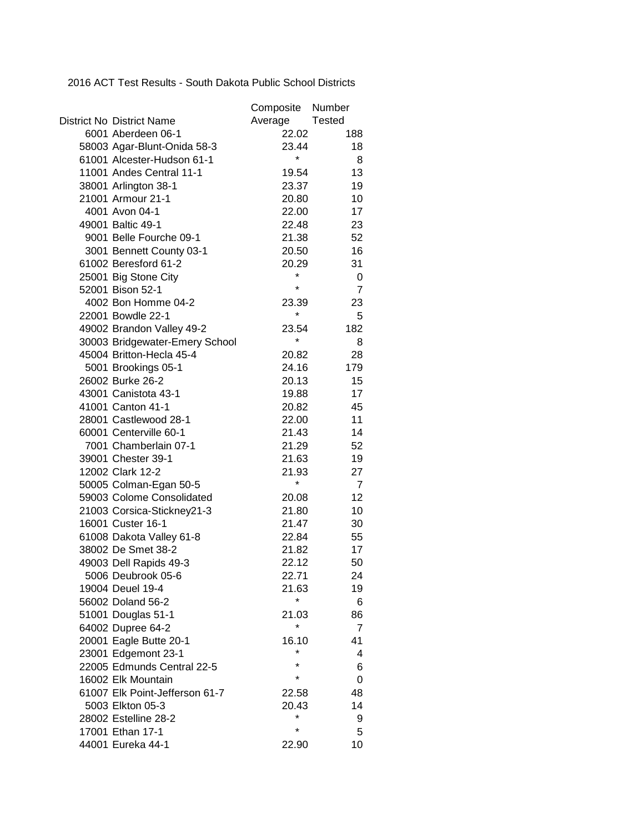2016 ACT Test Results - South Dakota Public School Districts

|                                  | Composite Number |                |
|----------------------------------|------------------|----------------|
| <b>District No District Name</b> | Average          | Tested         |
| 6001 Aberdeen 06-1               | 22.02            | 188            |
| 58003 Agar-Blunt-Onida 58-3      | 23.44            | 18             |
| 61001 Alcester-Hudson 61-1       | *                | 8              |
| 11001 Andes Central 11-1         | 19.54            | 13             |
| 38001 Arlington 38-1             | 23.37            | 19             |
| 21001 Armour 21-1                | 20.80            | 10             |
| 4001 Avon 04-1                   | 22.00            | 17             |
| 49001 Baltic 49-1                | 22.48            | 23             |
| 9001 Belle Fourche 09-1          | 21.38            | 52             |
| 3001 Bennett County 03-1         | 20.50            | 16             |
| 61002 Beresford 61-2             | 20.29            | 31             |
| 25001 Big Stone City             | *                | 0              |
| 52001 Bison 52-1                 | *                | $\overline{7}$ |
| 4002 Bon Homme 04-2              | 23.39            | 23             |
| 22001 Bowdle 22-1                | $\star$          | 5              |
| 49002 Brandon Valley 49-2        | 23.54            | 182            |
| 30003 Bridgewater-Emery School   | *                | 8              |
| 45004 Britton-Hecla 45-4         | 20.82            | 28             |
| 5001 Brookings 05-1              | 24.16            | 179            |
| 26002 Burke 26-2                 | 20.13            | 15             |
| 43001 Canistota 43-1             | 19.88            | 17             |
| 41001 Canton 41-1                | 20.82            | 45             |
| 28001 Castlewood 28-1            | 22.00            | 11             |
| 60001 Centerville 60-1           | 21.43            | 14             |
| 7001 Chamberlain 07-1            | 21.29            | 52             |
| 39001 Chester 39-1               | 21.63            | 19             |
| 12002 Clark 12-2                 | 21.93            | 27             |
| 50005 Colman-Egan 50-5           | *                | $\overline{7}$ |
| 59003 Colome Consolidated        | 20.08            | 12             |
| 21003 Corsica-Stickney21-3       | 21.80            | 10             |
| 16001 Custer 16-1                | 21.47            | 30             |
| 61008 Dakota Valley 61-8         | 22.84            | 55             |
| 38002 De Smet 38-2               | 21.82            | 17             |
| 49003 Dell Rapids 49-3           | 22.12            | 50             |
| 5006 Deubrook 05-6               | 22.71            | 24             |
| 19004 Deuel 19-4                 | 21.63            | 19             |
| 56002 Doland 56-2                | *                | 6              |
| 51001 Douglas 51-1               | 21.03            | 86             |
| 64002 Dupree 64-2                | $\star$          | $\overline{7}$ |
| 20001 Eagle Butte 20-1           | 16.10            | 41             |
| 23001 Edgemont 23-1              | $\star$          | 4              |
| 22005 Edmunds Central 22-5       |                  | 6              |
| 16002 Elk Mountain               | *                | 0              |
| 61007 Elk Point-Jefferson 61-7   | 22.58            | 48             |
| 5003 Elkton 05-3                 | 20.43            | 14             |
| 28002 Estelline 28-2             | *                | 9              |
| 17001 Ethan 17-1                 | $\star$          | 5              |
| 44001 Eureka 44-1                | 22.90            | 10             |
|                                  |                  |                |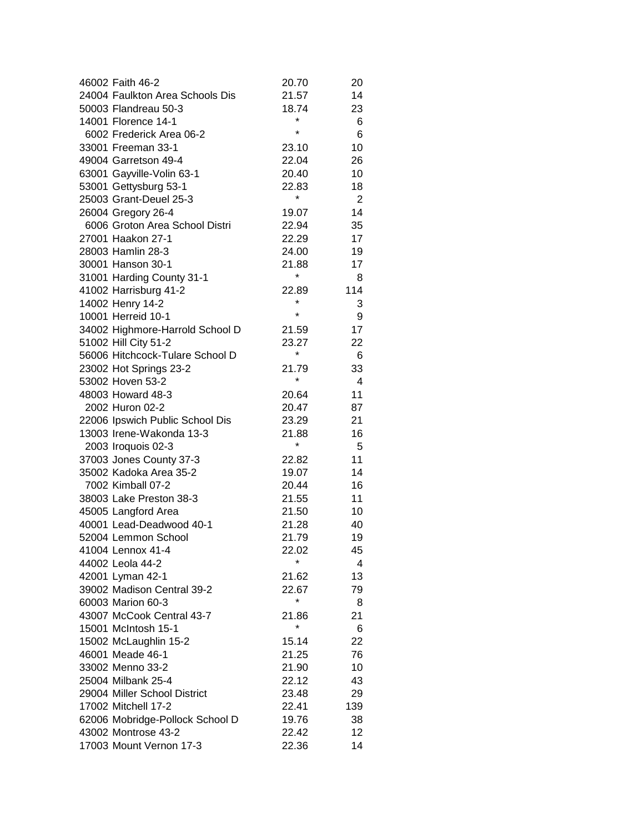| 46002 Faith 46-2                | 20.70      | 20             |
|---------------------------------|------------|----------------|
| 24004 Faulkton Area Schools Dis | 21.57      | 14             |
| 50003 Flandreau 50-3            | 18.74      | 23             |
| 14001 Florence 14-1             | *          | 6              |
| 6002 Frederick Area 06-2        | $\star$    | 6              |
| 33001 Freeman 33-1              | 23.10      | 10             |
| 49004 Garretson 49-4            | 22.04      | 26             |
| 63001 Gayville-Volin 63-1       | 20.40      | 10             |
| 53001 Gettysburg 53-1           | 22.83      | 18             |
| 25003 Grant-Deuel 25-3          | $^{\star}$ | $\overline{2}$ |
| 26004 Gregory 26-4              | 19.07      | 14             |
| 6006 Groton Area School Distri  | 22.94      | 35             |
| 27001 Haakon 27-1               | 22.29      | 17             |
| 28003 Hamlin 28-3               | 24.00      | 19             |
| 30001 Hanson 30-1               | 21.88      | 17             |
| 31001 Harding County 31-1       | *          | 8              |
| 41002 Harrisburg 41-2           | 22.89      | 114            |
| 14002 Henry 14-2                | *          | 3              |
| 10001 Herreid 10-1              | $\star$    | 9              |
| 34002 Highmore-Harrold School D | 21.59      | 17             |
| 51002 Hill City 51-2            | 23.27      | 22             |
| 56006 Hitchcock-Tulare School D | *          | 6              |
| 23002 Hot Springs 23-2          | 21.79      | 33             |
| 53002 Hoven 53-2                | $^{\star}$ | 4              |
| 48003 Howard 48-3               | 20.64      | 11             |
| 2002 Huron 02-2                 | 20.47      | 87             |
| 22006 Ipswich Public School Dis | 23.29      | 21             |
| 13003 Irene-Wakonda 13-3        | 21.88      | 16             |
| 2003 Iroquois 02-3              | *          | 5              |
| 37003 Jones County 37-3         | 22.82      | 11             |
| 35002 Kadoka Area 35-2          | 19.07      | 14             |
| 7002 Kimball 07-2               | 20.44      | 16             |
| 38003 Lake Preston 38-3         | 21.55      | 11             |
| 45005 Langford Area             | 21.50      | 10             |
| 40001 Lead-Deadwood 40-1        | 21.28      | 40             |
| 52004 Lemmon School             | 21.79      | 19             |
| 41004 Lennox 41-4               | 22.02      | 45             |
| 44002 Leola 44-2                | *          | 4              |
| 42001 Lyman 42-1                | 21.62      | 13             |
| 39002 Madison Central 39-2      | 22.67      | 79             |
| 60003 Marion 60-3               | *          | 8              |
| 43007 McCook Central 43-7       | 21.86      | 21             |
| 15001 McIntosh 15-1             | *          | 6              |
| 15002 McLaughlin 15-2           | 15.14      | 22             |
| 46001 Meade 46-1                | 21.25      | 76             |
| 33002 Menno 33-2                | 21.90      | 10             |
| 25004 Milbank 25-4              | 22.12      | 43             |
| 29004 Miller School District    | 23.48      | 29             |
| 17002 Mitchell 17-2             | 22.41      | 139            |
| 62006 Mobridge-Pollock School D | 19.76      | 38             |
| 43002 Montrose 43-2             | 22.42      | 12             |
| 17003 Mount Vernon 17-3         | 22.36      | 14             |
|                                 |            |                |